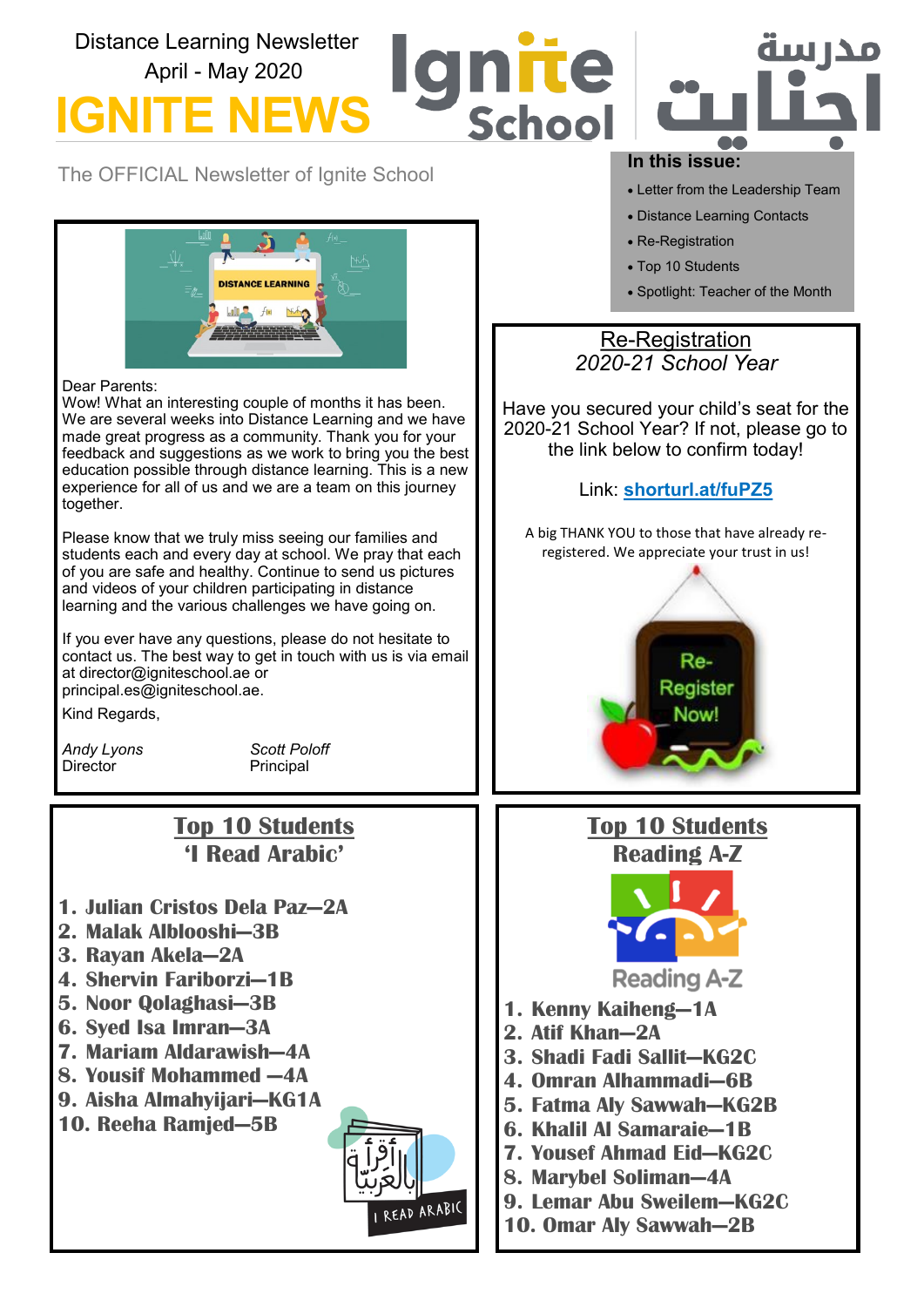# Distance Learning Newsletter Te April - May 2020 **IGNITE** Schoo

The OFFICIAL Newsletter of Ignite School



### Dear Parents:

Wow! What an interesting couple of months it has been. We are several weeks into Distance Learning and we have made great progress as a community. Thank you for your feedback and suggestions as we work to bring you the best education possible through distance learning. This is a new experience for all of us and we are a team on this journey together.

Please know that we truly miss seeing our families and students each and every day at school. We pray that each of you are safe and healthy. Continue to send us pictures and videos of your children participating in distance learning and the various challenges we have going on.

If you ever have any questions, please do not hesitate to contact us. The best way to get in touch with us is via email at director@igniteschool.ae or principal.es@igniteschool.ae.

Kind Regards,

Director **Principal** 

*Andy Lyons Scott Poloff*

# **Top 10 Students 'I Read Arabic'**

- **1. Julian Cristos Dela Paz—2A**
- **2. Malak Alblooshi—3B**
- **3. Rayan Akela—2A**
- **4. Shervin Fariborzi—1B**
- **5. Noor Qolaghasi—3B**
- **6. Syed Isa Imran—3A**
- **7. Mariam Aldarawish—4A**
- **8. Yousif Mohammed —4A**
- **9. Aisha Almahyijari—KG1A**
- **10. Reeha Ramjed—5B**



### **In this issue:**

• Letter from the Leadership Team

مدا سه

- Distance Learning Contacts
- Re-Registration
- Top 10 Students
- Spotlight: Teacher of the Month

## Re-Registration *2020-21 School Year*

Have you secured your child's seat for the 2020-21 School Year? If not, please go to the link below to confirm today!

## Link: **shorturl.at/fuPZ5**

A big THANK YOU to those that have already reregistered. We appreciate your trust in us!



# **Top 10 Students Reading A-Z**



**Reading A-Z** 

- **1. Kenny Kaiheng—1A**
- **2. Atif Khan—2A**
- **3. Shadi Fadi Sallit—KG2C**
- **4. Omran Alhammadi—6B**
- **5. Fatma Aly Sawwah—KG2B**
- **6. Khalil Al Samaraie—1B**
- **7. Yousef Ahmad Eid—KG2C**
- **8. Marybel Soliman—4A**
- **9. Lemar Abu Sweilem—KG2C**
- **10. Omar Aly Sawwah—2B**